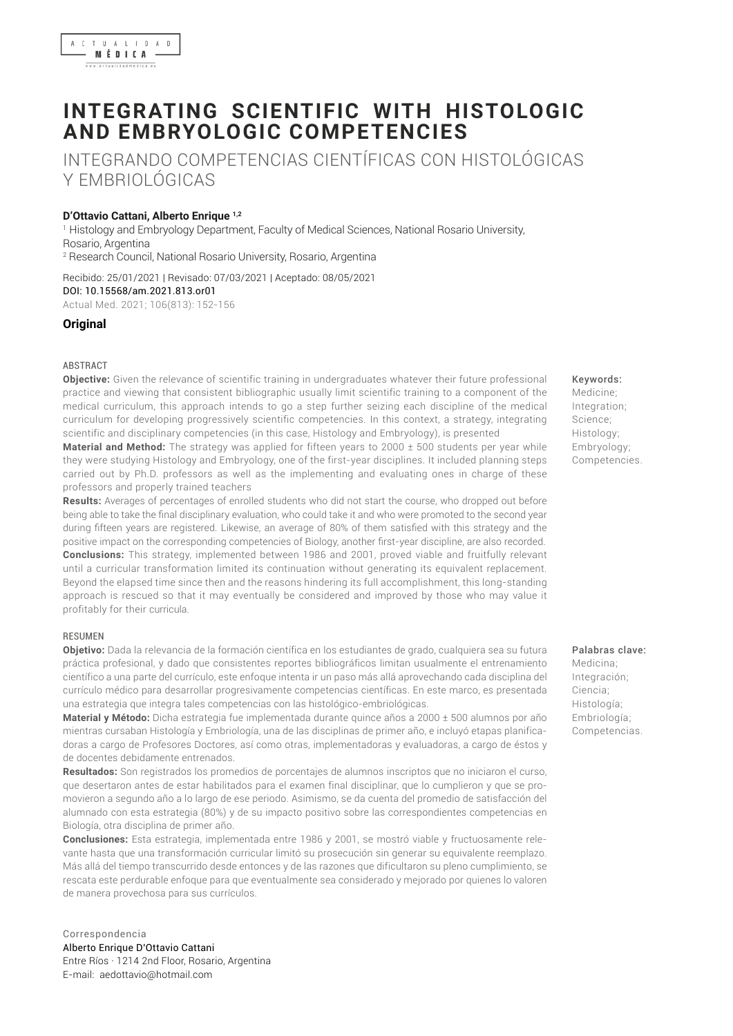

# **INTEGRATING SCIENTIFIC WITH HISTOLOGIC AND EMBRYOLOGIC COMPETENCIES**

INTEGRANDO COMPETENCIAS CIENTÍFICAS CON HISTOLÓGICAS Y EMBRIOLÓGICAS

#### **D'Ottavio Cattani, Alberto Enrique 1,2**

1 Histology and Embryology Department, Faculty of Medical Sciences, National Rosario University, Rosario, Argentina 2 Research Council, National Rosario University, Rosario, Argentina

Recibido: 25/01/2021 | Revisado: 07/03/2021 | Aceptado: 08/05/2021 DOI: 10.15568/am.2021.813.or01 Actual Med. 2021; 106(813): 152-156

#### **Original**

#### **ABSTRACT**

**Objective:** Given the relevance of scientific training in undergraduates whatever their future professional practice and viewing that consistent bibliographic usually limit scientific training to a component of the medical curriculum, this approach intends to go a step further seizing each discipline of the medical curriculum for developing progressively scientific competencies. In this context, a strategy, integrating scientific and disciplinary competencies (in this case, Histology and Embryology), is presented

**Material and Method:** The strategy was applied for fifteen years to 2000 ± 500 students per year while they were studying Histology and Embryology, one of the first-year disciplines. It included planning steps carried out by Ph.D. professors as well as the implementing and evaluating ones in charge of these professors and properly trained teachers

**Results:** Averages of percentages of enrolled students who did not start the course, who dropped out before being able to take the final disciplinary evaluation, who could take it and who were promoted to the second year during fifteen years are registered. Likewise, an average of 80% of them satisfied with this strategy and the positive impact on the corresponding competencies of Biology, another first-year discipline, are also recorded. **Conclusions:** This strategy, implemented between 1986 and 2001, proved viable and fruitfully relevant until a curricular transformation limited its continuation without generating its equivalent replacement. Beyond the elapsed time since then and the reasons hindering its full accomplishment, this long-standing approach is rescued so that it may eventually be considered and improved by those who may value it profitably for their curricula.

#### RESUMEN

**Objetivo:** Dada la relevancia de la formación científica en los estudiantes de grado, cualquiera sea su futura práctica profesional, y dado que consistentes reportes bibliográficos limitan usualmente el entrenamiento científico a una parte del currículo, este enfoque intenta ir un paso más allá aprovechando cada disciplina del currículo médico para desarrollar progresivamente competencias científicas. En este marco, es presentada una estrategia que integra tales competencias con las histológico-embriológicas.

**Material y Método:** Dicha estrategia fue implementada durante quince años a 2000 ± 500 alumnos por año mientras cursaban Histología y Embriología, una de las disciplinas de primer año, e incluyó etapas planificadoras a cargo de Profesores Doctores, así como otras, implementadoras y evaluadoras, a cargo de éstos y de docentes debidamente entrenados.

**Resultados:** Son registrados los promedios de porcentajes de alumnos inscriptos que no iniciaron el curso, que desertaron antes de estar habilitados para el examen final disciplinar, que lo cumplieron y que se promovieron a segundo año a lo largo de ese periodo. Asimismo, se da cuenta del promedio de satisfacción del alumnado con esta estrategia (80%) y de su impacto positivo sobre las correspondientes competencias en Biología, otra disciplina de primer año.

**Conclusiones:** Esta estrategia, implementada entre 1986 y 2001, se mostró viable y fructuosamente relevante hasta que una transformación curricular limitó su prosecución sin generar su equivalente reemplazo. Más allá del tiempo transcurrido desde entonces y de las razones que dificultaron su pleno cumplimiento, se rescata este perdurable enfoque para que eventualmente sea considerado y mejorado por quienes lo valoren de manera provechosa para sus currículos.

#### Alberto Enrique D'Ottavio Cattani Entre Ríos · 1214 2nd Floor, Rosario, Argentina E-mail: [aedottavio@hotmail.com](mailto:aedottavio@hotmail.com) Correspondencia

Keywords:

Medicine; Integration; Science; Histology; Embryology; Competencies.

Palabras clave: Medicina; Integración; Ciencia; Histología;

Embriología; Competencias.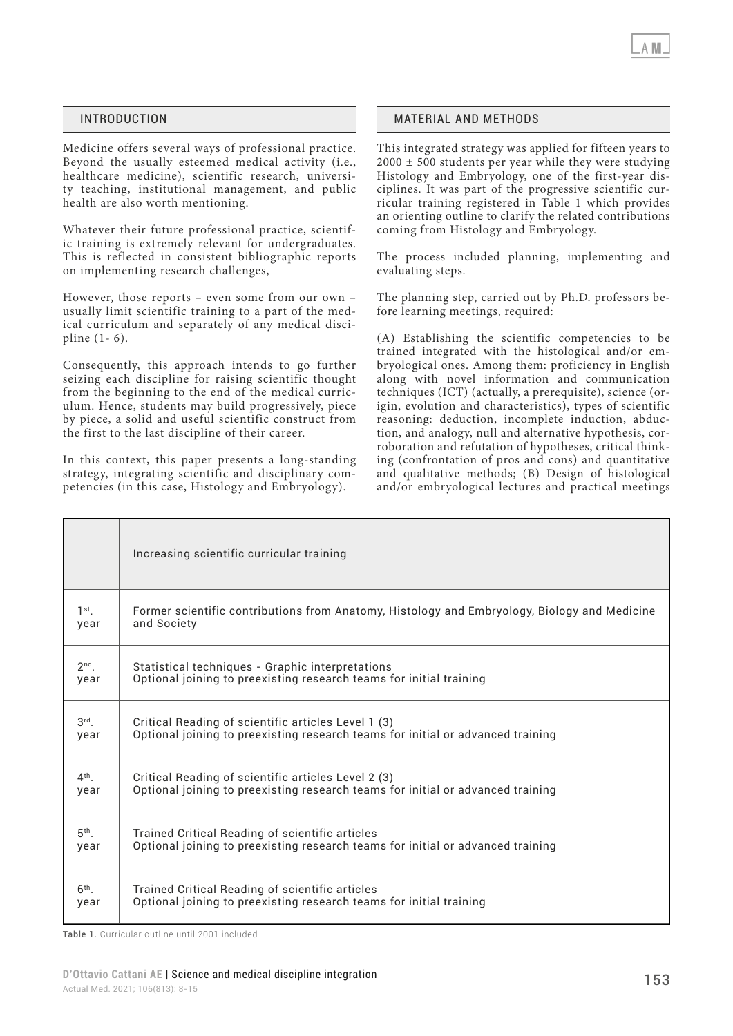Medicine offers several ways of professional practice. Beyond the usually esteemed medical activity (i.e., healthcare medicine), scientific research, university teaching, institutional management, and public health are also worth mentioning.

Whatever their future professional practice, scientific training is extremely relevant for undergraduates. This is reflected in consistent bibliographic reports on implementing research challenges,

However, those reports – even some from our own – usually limit scientific training to a part of the medical curriculum and separately of any medical discipline (1- 6).

Consequently, this approach intends to go further seizing each discipline for raising scientific thought from the beginning to the end of the medical curriculum. Hence, students may build progressively, piece by piece, a solid and useful scientific construct from the first to the last discipline of their career.

In this context, this paper presents a long-standing strategy, integrating scientific and disciplinary competencies (in this case, Histology and Embryology).

#### INTRODUCTION MATERIAL AND METHODS

This integrated strategy was applied for fifteen years to  $2000 \pm 500$  students per year while they were studying Histology and Embryology, one of the first-year disciplines. It was part of the progressive scientific curricular training registered in Table 1 which provides an orienting outline to clarify the related contributions coming from Histology and Embryology.

The process included planning, implementing and evaluating steps.

The planning step, carried out by Ph.D. professors before learning meetings, required:

(A) Establishing the scientific competencies to be trained integrated with the histological and/or embryological ones. Among them: proficiency in English along with novel information and communication techniques (ICT) (actually, a prerequisite), science (origin, evolution and characteristics), types of scientific reasoning: deduction, incomplete induction, abduction, and analogy, null and alternative hypothesis, corroboration and refutation of hypotheses, critical thinking (confrontation of pros and cons) and quantitative and qualitative methods; (B) Design of histological and/or embryological lectures and practical meetings

|                 | Increasing scientific curricular training                                                    |
|-----------------|----------------------------------------------------------------------------------------------|
| $1st$ .         | Former scientific contributions from Anatomy, Histology and Embryology, Biology and Medicine |
| year            | and Society                                                                                  |
| $2nd$ .         | Statistical techniques - Graphic interpretations                                             |
| year            | Optional joining to preexisting research teams for initial training                          |
| $3rd$ .         | Critical Reading of scientific articles Level 1 (3)                                          |
| year            | Optional joining to preexisting research teams for initial or advanced training              |
| $4th$ .         | Critical Reading of scientific articles Level 2 (3)                                          |
| year            | Optional joining to preexisting research teams for initial or advanced training              |
| 5 <sup>th</sup> | Trained Critical Reading of scientific articles                                              |
| year            | Optional joining to preexisting research teams for initial or advanced training              |
| $6th$ .         | Trained Critical Reading of scientific articles                                              |
| year            | Optional joining to preexisting research teams for initial training                          |

Table 1. Curricular outline until 2001 included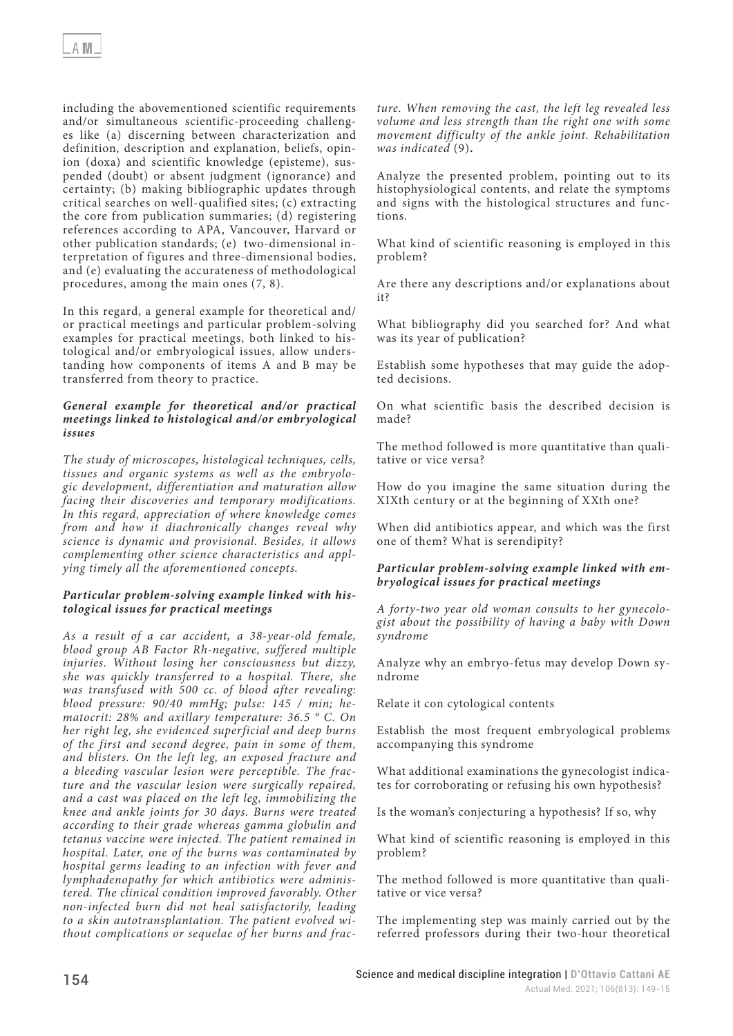including the abovementioned scientific requirements and/or simultaneous scientific-proceeding challenges like (a) discerning between characterization and definition, description and explanation, beliefs, opinion (doxa) and scientific knowledge (episteme), suspended (doubt) or absent judgment (ignorance) and certainty; (b) making bibliographic updates through critical searches on well-qualified sites; (c) extracting the core from publication summaries; (d) registering references according to APA, Vancouver, Harvard or other publication standards; (e) two-dimensional interpretation of figures and three-dimensional bodies, and (e) evaluating the accurateness of methodological procedures, among the main ones (7, 8).

In this regard, a general example for theoretical and/ or practical meetings and particular problem-solving examples for practical meetings, both linked to histological and/or embryological issues, allow understanding how components of items A and B may be transferred from theory to practice.

#### *General example for theoretical and/or practical meetings linked to histological and/or embryological issues*

*The study of microscopes, histological techniques, cells, tissues and organic systems as well as the embryologic development, differentiation and maturation allow facing their discoveries and temporary modifications. In this regard, appreciation of where knowledge comes from and how it diachronically changes reveal why science is dynamic and provisional. Besides, it allows complementing other science characteristics and applying timely all the aforementioned concepts.*

# *Particular problem-solving example linked with histological issues for practical meetings*

*As a result of a car accident, a 38-year-old female, blood group AB Factor Rh-negative, suffered multiple injuries. Without losing her consciousness but dizzy, she was quickly transferred to a hospital. There, she was transfused with 500 cc. of blood after revealing: blood pressure: 90/40 mmHg; pulse: 145 / min; hematocrit: 28% and axillary temperature: 36.5 ° C. On her right leg, she evidenced superficial and deep burns of the first and second degree, pain in some of them, and blisters. On the left leg, an exposed fracture and a bleeding vascular lesion were perceptible. The fracture and the vascular lesion were surgically repaired, and a cast was placed on the left leg, immobilizing the knee and ankle joints for 30 days. Burns were treated according to their grade whereas gamma globulin and tetanus vaccine were injected. The patient remained in hospital. Later, one of the burns was contaminated by hospital germs leading to an infection with fever and lymphadenopathy for which antibiotics were administered. The clinical condition improved favorably. Other non-infected burn did not heal satisfactorily, leading to a skin autotransplantation. The patient evolved without complications or sequelae of her burns and frac-* *ture. When removing the cast, the left leg revealed less volume and less strength than the right one with some movement difficulty of the ankle joint. Rehabilitation was indicated* (9)**.**

Analyze the presented problem, pointing out to its histophysiological contents, and relate the symptoms and signs with the histological structures and functions.

What kind of scientific reasoning is employed in this problem?

Are there any descriptions and/or explanations about it?

What bibliography did you searched for? And what was its year of publication?

Establish some hypotheses that may guide the adopted decisions.

On what scientific basis the described decision is made?

The method followed is more quantitative than qualitative or vice versa?

How do you imagine the same situation during the XIXth century or at the beginning of XXth one?

When did antibiotics appear, and which was the first one of them? What is serendipity?

# *Particular problem-solving example linked with embryological issues for practical meetings*

*A forty-two year old woman consults to her gynecologist about the possibility of having a baby with Down syndrome*

Analyze why an embryo-fetus may develop Down syndrome

Relate it con cytological contents

Establish the most frequent embryological problems accompanying this syndrome

What additional examinations the gynecologist indicates for corroborating or refusing his own hypothesis?

Is the woman's conjecturing a hypothesis? If so, why

What kind of scientific reasoning is employed in this problem?

The method followed is more quantitative than qualitative or vice versa?

The implementing step was mainly carried out by the referred professors during their two-hour theoretical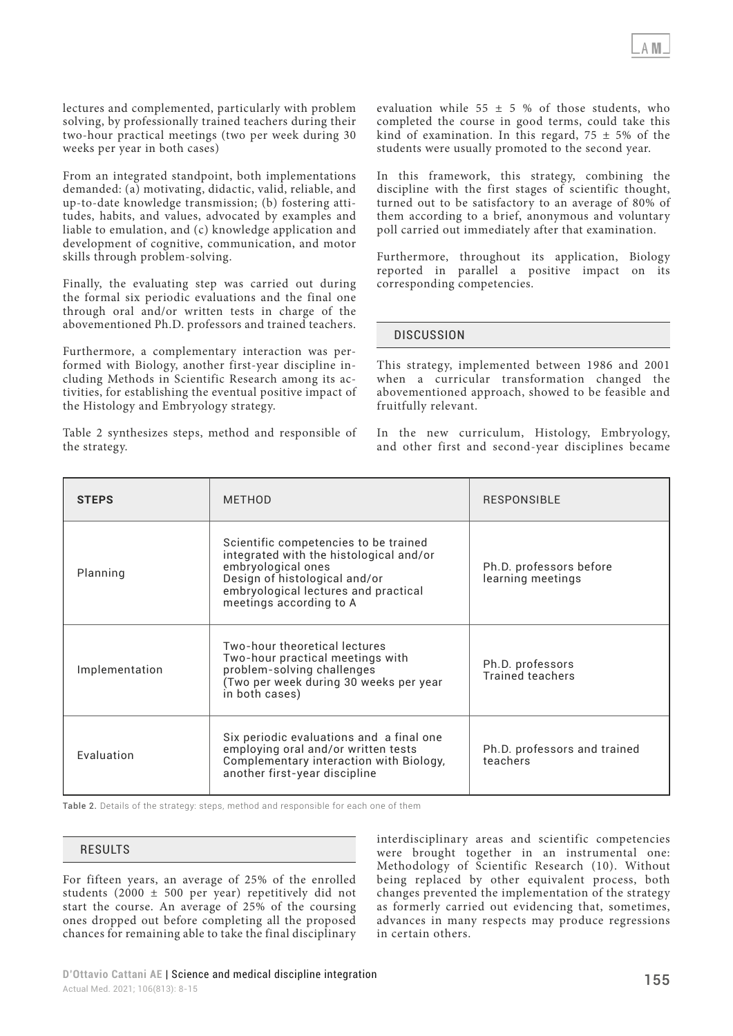lectures and complemented, particularly with problem solving, by professionally trained teachers during their two-hour practical meetings (two per week during 30 weeks per year in both cases)

From an integrated standpoint, both implementations demanded: (a) motivating, didactic, valid, reliable, and up-to-date knowledge transmission; (b) fostering attitudes, habits, and values, advocated by examples and liable to emulation, and (c) knowledge application and development of cognitive, communication, and motor skills through problem-solving.

Finally, the evaluating step was carried out during the formal six periodic evaluations and the final one through oral and/or written tests in charge of the abovementioned Ph.D. professors and trained teachers.

Furthermore, a complementary interaction was performed with Biology, another first-year discipline including Methods in Scientific Research among its activities, for establishing the eventual positive impact of the Histology and Embryology strategy.

Table 2 synthesizes steps, method and responsible of the strategy.

evaluation while  $55 \pm 5$  % of those students, who completed the course in good terms, could take this kind of examination. In this regard,  $75 \pm 5\%$  of the students were usually promoted to the second year.

In this framework, this strategy, combining the discipline with the first stages of scientific thought, turned out to be satisfactory to an average of 80% of them according to a brief, anonymous and voluntary poll carried out immediately after that examination.

Furthermore, throughout its application, Biology reported in parallel a positive impact on its corresponding competencies.

# **DISCUSSION**

This strategy, implemented between 1986 and 2001 when a curricular transformation changed the abovementioned approach, showed to be feasible and fruitfully relevant.

In the new curriculum, Histology, Embryology, and other first and second-year disciplines became

| <b>STEPS</b>   | <b>METHOD</b>                                                                                                                                                                                              | <b>RESPONSIBLE</b>                           |
|----------------|------------------------------------------------------------------------------------------------------------------------------------------------------------------------------------------------------------|----------------------------------------------|
| Planning       | Scientific competencies to be trained<br>integrated with the histological and/or<br>embryological ones<br>Design of histological and/or<br>embryological lectures and practical<br>meetings according to A | Ph.D. professors before<br>learning meetings |
| Implementation | Two-hour theoretical lectures<br>Two-hour practical meetings with<br>problem-solving challenges<br>(Two per week during 30 weeks per year<br>in both cases)                                                | Ph.D. professors<br><b>Trained teachers</b>  |
| Evaluation     | Six periodic evaluations and a final one<br>employing oral and/or written tests<br>Complementary interaction with Biology,<br>another first-year discipline                                                | Ph.D. professors and trained<br>teachers     |

Table 2. Details of the strategy: steps, method and responsible for each one of them

#### RESULTS

For fifteen years, an average of 25% of the enrolled students (2000  $\pm$  500 per year) repetitively did not start the course. An average of 25% of the coursing ones dropped out before completing all the proposed chances for remaining able to take the final disciplinary interdisciplinary areas and scientific competencies were brought together in an instrumental one: Methodology of Scientific Research (10). Without being replaced by other equivalent process, both changes prevented the implementation of the strategy as formerly carried out evidencing that, sometimes, advances in many respects may produce regressions in certain others.